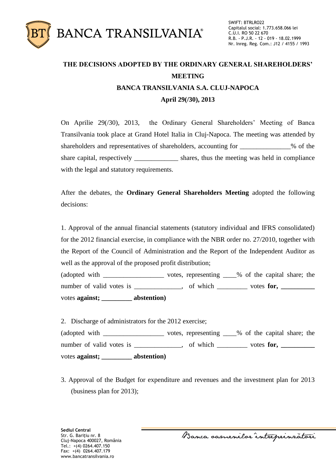

## **THE DECISIONS ADOPTED BY THE ORDINARY GENERAL SHAREHOLDERS' MEETING BANCA TRANSILVANIA S.A. CLUJ-NAPOCA April 29(/30), 2013**

On Aprilie 29(/30), 2013, the Ordinary General Shareholders' Meeting of Banca Transilvania took place at Grand Hotel Italia in Cluj-Napoca. The meeting was attended by shareholders and representatives of shareholders, accounting for \_\_\_\_\_\_\_\_\_\_\_\_\_\_\_% of the share capital, respectively shares, thus the meeting was held in compliance with the legal and statutory requirements.

After the debates, the **Ordinary General Shareholders Meeting** adopted the following decisions:

1. Approval of the annual financial statements (statutory individual and IFRS consolidated) for the 2012 financial exercise, in compliance with the NBR order no. 27/2010, together with the Report of the Council of Administration and the Report of the Independent Auditor as well as the approval of the proposed profit distribution;

(adopted with \_\_\_\_\_\_\_\_\_\_\_\_\_\_\_\_\_\_ votes, representing \_\_\_\_% of the capital share; the number of valid votes is \_\_\_\_\_\_\_\_\_\_\_\_, of which \_\_\_\_\_\_\_\_ votes **for**, \_\_\_\_\_\_\_\_\_\_ votes **against; \_\_\_\_\_\_\_\_\_ abstention)**

2. Discharge of administrators for the 2012 exercise; (adopted with \_\_\_\_\_\_\_\_\_\_\_\_\_\_\_\_\_\_ votes, representing \_\_\_\_% of the capital share; the number of valid votes is \_\_\_\_\_\_\_\_\_, of which \_\_\_\_\_\_ votes for, \_\_\_\_\_\_\_\_ votes **against; \_\_\_\_\_\_\_\_\_ abstention)**

3. Approval of the Budget for expenditure and revenues and the investment plan for 2013 (business plan for 2013);

Banca samenilor intreprinzatori